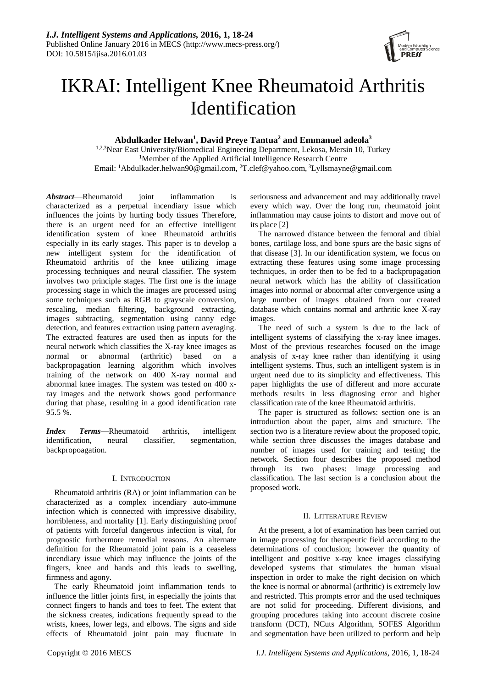

# IKRAI: Intelligent Knee Rheumatoid Arthritis Identification

## **Abdulkader Helwan<sup>1</sup> , David Preye Tantua<sup>2</sup> and Emmanuel adeola<sup>3</sup>**

1,2,3Near East University/Biomedical Engineering Department, Lekosa, Mersin 10, Turkey <sup>1</sup>Member of the Applied Artificial Intelligence Research Centre Email: <sup>1</sup>[Abdulkader.helwan90@gmail.com,](mailto:Abdulkader.helwan90@gmail.com) <sup>2</sup>[T.clef@yahoo.com,](mailto:T.clef@yahoo.com) <sup>3</sup>[Lyllsmayne@gmail.com](mailto:3Lyllsmayne@gmail.com)

*Abstract*—Rheumatoid joint inflammation is characterized as a perpetual incendiary issue which influences the joints by hurting body tissues Therefore, there is an urgent need for an effective intelligent identification system of knee Rheumatoid arthritis especially in its early stages. This paper is to develop a new intelligent system for the identification of Rheumatoid arthritis of the knee utilizing image processing techniques and neural classifier. The system involves two principle stages. The first one is the image processing stage in which the images are processed using some techniques such as RGB to gravscale conversion, rescaling, median filtering, background extracting, images subtracting, segmentation using canny edge detection, and features extraction using pattern averaging. The extracted features are used then as inputs for the neural network which classifies the X-ray knee images as normal or abnormal (arthritic) based on a backpropagation learning algorithm which involves training of the network on 400 X-ray normal and abnormal knee images. The system was tested on 400 xray images and the network shows good performance during that phase, resulting in a good identification rate 95.5 %.

*Index Terms*—Rheumatoid arthritis, intelligent identification, neural classifier, segmentation, backpropoagation.

## I. INTRODUCTION

Rheumatoid arthritis (RA) or joint inflammation can be characterized as a complex incendiary auto-immune infection which is connected with impressive disability, horribleness, and mortality [1]. Early distinguishing proof of patients with forceful dangerous infection is vital, for prognostic furthermore remedial reasons. An alternate definition for the Rheumatoid joint pain is a ceaseless incendiary issue which may influence the joints of the fingers, knee and hands and this leads to swelling, firmness and agony.

The early Rheumatoid joint inflammation tends to influence the littler joints first, in especially the joints that connect fingers to hands and toes to feet. The extent that the sickness creates, indications frequently spread to the wrists, knees, lower legs, and elbows. The signs and side effects of Rheumatoid joint pain may fluctuate in seriousness and advancement and may additionally travel every which way. Over the long run, rheumatoid joint inflammation may cause joints to distort and move out of its place [2]

The narrowed distance between the femoral and tibial bones, cartilage loss, and bone spurs are the basic signs of that disease [3]. In our identification system, we focus on extracting these features using some image processing techniques, in order then to be fed to a backpropagation neural network which has the ability of classification images into normal or abnormal after convergence using a large number of images obtained from our created database which contains normal and arthritic knee X-ray images.

The need of such a system is due to the lack of intelligent systems of classifying the x-ray knee images. Most of the previous researches focused on the image analysis of x-ray knee rather than identifying it using intelligent systems. Thus, such an intelligent system is in urgent need due to its simplicity and effectiveness. This paper highlights the use of different and more accurate methods results in less diagnosing error and higher classification rate of the knee Rheumatoid arthritis.

The paper is structured as follows: section one is an introduction about the paper, aims and structure. The section two is a literature review about the proposed topic, while section three discusses the images database and number of images used for training and testing the network. Section four describes the proposed method through its two phases: image processing and classification. The last section is a conclusion about the proposed work.

## II. LITTERATURE REVIEW

At the present, a lot of examination has been carried out in image processing for therapeutic field according to the determinations of conclusion; however the quantity of intelligent and positive x-ray knee images classifying developed systems that stimulates the human visual inspection in order to make the right decision on which the knee is normal or abnormal (arthritic) is extremely low and restricted. This prompts error and the used techniques are not solid for proceeding. Different divisions, and grouping procedures taking into account discrete cosine transform (DCT), NCuts Algorithm, SOFES Algorithm and segmentation have been utilized to perform and help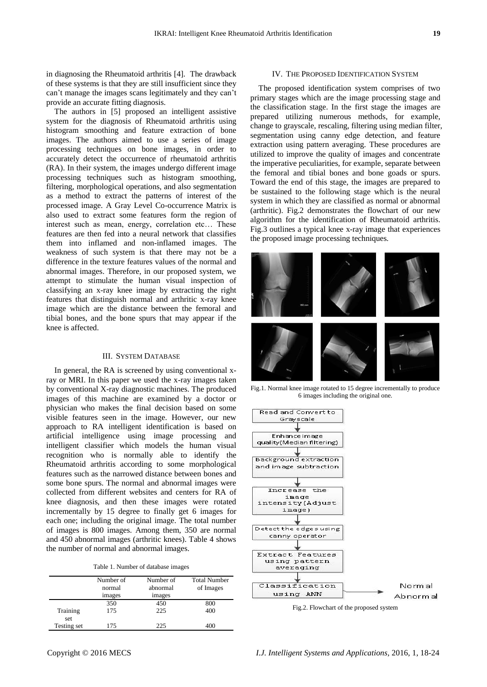in diagnosing the Rheumatoid arthritis [4]. The drawback of these systems is that they are still insufficient since they can't manage the images scans legitimately and they can't provide an accurate fitting diagnosis.

The authors in [5] proposed an intelligent assistive system for the diagnosis of Rheumatoid arthritis using histogram smoothing and feature extraction of bone images. The authors aimed to use a series of image processing techniques on bone images, in order to accurately detect the occurrence of rheumatoid arthritis (RA). In their system, the images undergo different image processing techniques such as histogram smoothing, filtering, morphological operations, and also segmentation as a method to extract the patterns of interest of the processed image. A Gray Level Co-occurrence Matrix is also used to extract some features form the region of interest such as mean, energy, correlation etc… These features are then fed into a neural network that classifies them into inflamed and non-inflamed images. The weakness of such system is that there may not be a difference in the texture features values of the normal and abnormal images. Therefore, in our proposed system, we attempt to stimulate the human visual inspection of classifying an x-ray knee image by extracting the right features that distinguish normal and arthritic x-ray knee image which are the distance between the femoral and tibial bones, and the bone spurs that may appear if the knee is affected.

## III. SYSTEM DATABASE

In general, the RA is screened by using conventional xray or MRI. In this paper we used the x-ray images taken by conventional X-ray diagnostic machines. The produced images of this machine are examined by a doctor or physician who makes the final decision based on some visible features seen in the image. However, our new approach to RA intelligent identification is based on artificial intelligence using image processing and intelligent classifier which models the human visual recognition who is normally able to identify the Rheumatoid arthritis according to some morphological features such as the narrowed distance between bones and some bone spurs. The normal and abnormal images were collected from different websites and centers for RA of knee diagnosis, and then these images were rotated incrementally by 15 degree to finally get 6 images for each one; including the original image. The total number of images is 800 images. Among them, 350 are normal and 450 abnormal images (arthritic knees). Table 4 shows the number of normal and abnormal images.

|  |  | Table 1. Number of database images |  |
|--|--|------------------------------------|--|
|  |  |                                    |  |

|                 | Number of<br>normal<br>images | Number of<br>abnormal<br>images | <b>Total Number</b><br>of Images |
|-----------------|-------------------------------|---------------------------------|----------------------------------|
|                 | 350                           | 450                             | 800                              |
| Training<br>set | 175                           | 225                             | 400                              |
| Testing set     | 175                           | 225                             |                                  |

#### IV. THE PROPOSED IDENTIFICATION SYSTEM

The proposed identification system comprises of two primary stages which are the image processing stage and the classification stage. In the first stage the images are prepared utilizing numerous methods, for example, change to grayscale, rescaling, filtering using median filter, segmentation using canny edge detection, and feature extraction using pattern averaging. These procedures are utilized to improve the quality of images and concentrate the imperative peculiarities, for example, separate between the femoral and tibial bones and bone goads or spurs. Toward the end of this stage, the images are prepared to be sustained to the following stage which is the neural system in which they are classified as normal or abnormal (arthritic). Fig.2 demonstrates the flowchart of our new algorithm for the identification of Rheumatoid arthritis. Fig.3 outlines a typical knee x-ray image that experiences the proposed image processing techniques.



Fig.1. Normal knee image rotated to 15 degree incrementally to produce 6 images including the original one.

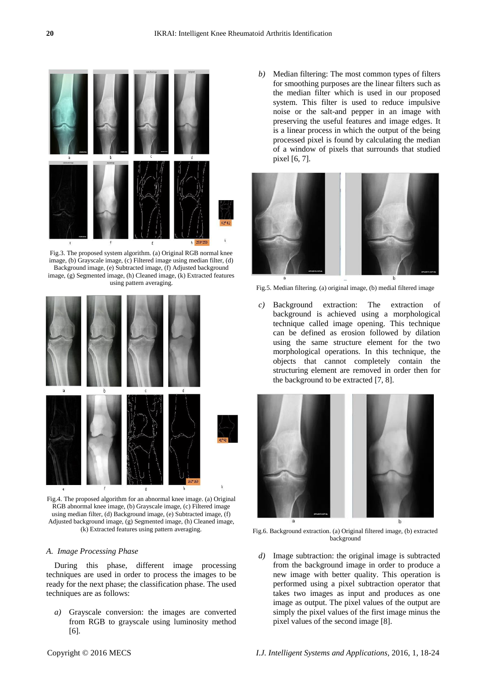

Fig.3. The proposed system algorithm. (a) Original RGB normal knee image, (b) Grayscale image, (c) Filtered image using median filter, (d) Background image, (e) Subtracted image, (f) Adjusted background image, (g) Segmented image, (h) Cleaned image, (k) Extracted features using pattern averaging.



Fig.4. The proposed algorithm for an abnormal knee image. (a) Original RGB abnormal knee image, (b) Grayscale image, (c) Filtered image using median filter, (d) Background image, (e) Subtracted image, (f) Adjusted background image, (g) Segmented image, (h) Cleaned image, (k) Extracted features using pattern averaging.

## *A. Image Processing Phase*

During this phase, different image processing techniques are used in order to process the images to be ready for the next phase; the classification phase. The used techniques are as follows:

*a)* Grayscale conversion: the images are converted from RGB to grayscale using luminosity method [6].

*b)* Median filtering: The most common types of filters for smoothing purposes are the linear filters such as the median filter which is used in our proposed system. This filter is used to reduce impulsive noise or the salt-and pepper in an image with preserving the useful features and image edges. It is a linear process in which the output of the being processed pixel is found by calculating the median of a window of pixels that surrounds that studied pixel [6, 7].



Fig.5. Median filtering. (a) original image, (b) medial filtered image

*c)* Background extraction: The extraction of background is achieved using a morphological technique called image opening. This technique can be defined as erosion followed by dilation using the same structure element for the two morphological operations. In this technique, the objects that cannot completely contain the structuring element are removed in order then for the background to be extracted [7, 8].



Fig.6. Background extraction. (a) Original filtered image, (b) extracted background

*d)* Image subtraction: the original image is subtracted from the background image in order to produce a new image with better quality. This operation is performed using a pixel subtraction operator that takes two images as input and produces as one image as output. The pixel values of the output are simply the pixel values of the first image minus the pixel values of the second image [8].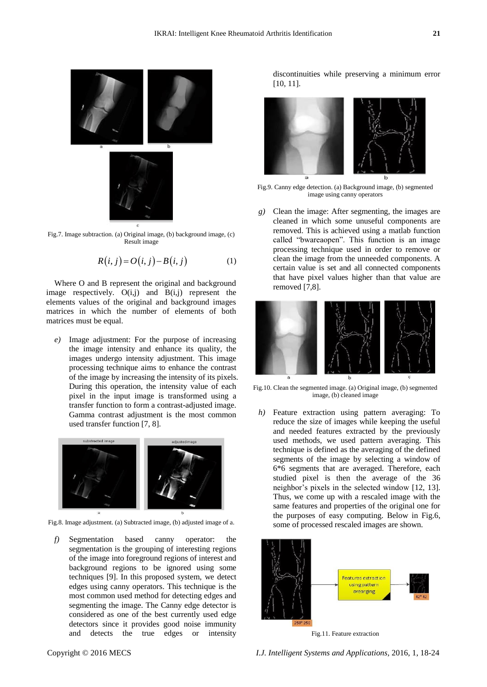

Fig.7. Image subtraction. (a) Original image, (b) background image, (c) Result image

$$
R(i, j) = O(i, j) - B(i, j)
$$
 (1)

Where O and B represent the original and background image respectively.  $O(i,j)$  and  $B(i,j)$  represent the elements values of the original and background images matrices in which the number of elements of both matrices must be equal.

*e)* Image adjustment: For the purpose of increasing the image intensity and enhance its quality, the images undergo intensity adjustment. This image processing technique aims to enhance the contrast of the image by increasing the intensity of its pixels. During this operation, the intensity value of each pixel in the input image is transformed using a transfer function to form a contrast-adjusted image. Gamma contrast adjustment is the most common used transfer function [7, 8].



Fig.8. Image adjustment. (a) Subtracted image, (b) adjusted image of a.

*f)* Segmentation based canny operator: the segmentation is the grouping of interesting regions of the image into foreground regions of interest and background regions to be ignored using some techniques [9]. In this proposed system, we detect edges using canny operators. This technique is the most common used method for detecting edges and segmenting the image. The Canny edge detector is considered as one of the best currently used edge detectors since it provides good noise immunity and detects the true edges or intensity

discontinuities while preserving a minimum error [10, 11].



Fig.9. Canny edge detection. (a) Background image, (b) segmented image using canny operators

*g)* Clean the image: After segmenting, the images are cleaned in which some unuseful components are removed. This is achieved using a matlab function called "bwareaopen". This function is an image processing technique used in order to remove or clean the image from the unneeded components. A certain value is set and all connected components that have pixel values higher than that value are removed [7,8].



Fig.10. Clean the segmented image. (a) Original image, (b) segmented image, (b) cleaned image

*h)* Feature extraction using pattern averaging: To reduce the size of images while keeping the useful and needed features extracted by the previously used methods, we used pattern averaging. This technique is defined as the averaging of the defined segments of the image by selecting a window of 6\*6 segments that are averaged. Therefore, each studied pixel is then the average of the 36 neighbor's pixels in the selected window [12, 13]. Thus, we come up with a rescaled image with the same features and properties of the original one for the purposes of easy computing. Below in Fig.6, some of processed rescaled images are shown.



Fig.11. Feature extraction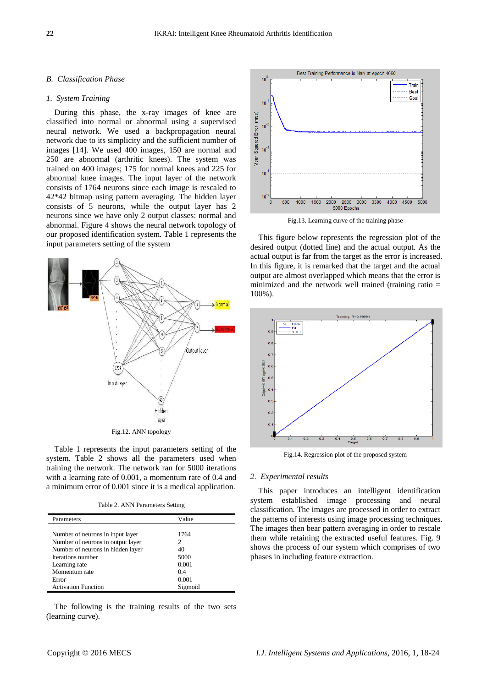## *B. Classification Phase*

## *1. System Training*

During this phase, the x-ray images of knee are classified into normal or abnormal using a supervised neural network. We used a backpropagation neural network due to its simplicity and the sufficient number of images [14]. We used 400 images, 150 are normal and 250 are abnormal (arthritic knees). The system was trained on 400 images; 175 for normal knees and 225 for abnormal knee images. The input layer of the network consists of 1764 neurons since each image is rescaled to 42\*42 bitmap using pattern averaging. The hidden layer consists of 5 neurons, while the output layer has 2 neurons since we have only 2 output classes: normal and abnormal. Figure 4 shows the neural network topology of our proposed identification system. Table 1 represents the input parameters setting of the system



Table 1 represents the input parameters setting of the system. Table 2 shows all the parameters used when training the network. The network ran for 5000 iterations with a learning rate of 0.001, a momentum rate of 0.4 and a minimum error of 0.001 since it is a medical application.

| Parameters                        | Value   |
|-----------------------------------|---------|
|                                   |         |
| Number of neurons in input layer  | 1764    |
| Number of neurons in output layer | 2       |
| Number of neurons in hidden layer | 40      |
| Iterations number                 | 5000    |
| Learning rate                     | 0.001   |
| Momentum rate                     | 0.4     |
| Error                             | 0.001   |
| <b>Activation Function</b>        | Sigmoid |

The following is the training results of the two sets (learning curve).



Fig.13. Learning curve of the training phase

This figure below represents the regression plot of the desired output (dotted line) and the actual output. As the actual output is far from the target as the error is increased. In this figure, it is remarked that the target and the actual output are almost overlapped which means that the error is minimized and the network well trained (training ratio = 100%).



Fig.14. Regression plot of the proposed system

### *2. Experimental results*

This paper introduces an intelligent identification system established image processing and neural classification. The images are processed in order to extract the patterns of interests using image processing techniques. The images then bear pattern averaging in order to rescale them while retaining the extracted useful features. Fig. 9 shows the process of our system which comprises of two phases in including feature extraction.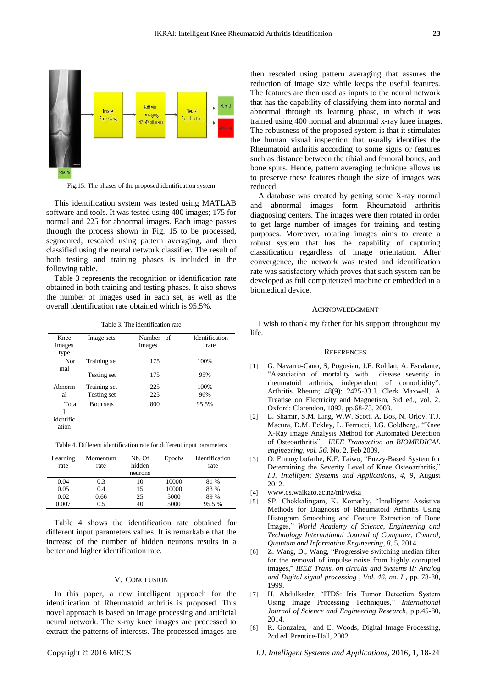

Fig.15. The phases of the proposed identification system

This identification system was tested using MATLAB software and tools. It was tested using 400 images; 175 for normal and 225 for abnormal images. Each image passes through the process shown in Fig. 15 to be processed, segmented, rescaled using pattern averaging, and then classified using the neural network classifier. The result of both testing and training phases is included in the following table.

Table 3 represents the recognition or identification rate obtained in both training and testing phases. It also shows the number of images used in each set, as well as the overall identification rate obtained which is 95.5%.

Table 3. The identification rate

| Knee<br>images<br>type     | Image sets       | Number of<br>images | <b>Identification</b><br>rate |
|----------------------------|------------------|---------------------|-------------------------------|
| Nor<br>mal                 | Training set     | 175                 | 100%                          |
|                            | Testing set      | 175                 | 95%                           |
| Abnorm                     | Training set     | 225                 | 100%                          |
| al                         | Testing set      | 225                 | 96%                           |
| Tota<br>identific<br>ation | <b>Both sets</b> | 800                 | 95.5%                         |

Table 4. Different identification rate for different input parameters

| Learning<br>rate | Momentum<br>rate | Nb. Of<br>hidden<br>neurons | Epochs | Identification<br>rate |
|------------------|------------------|-----------------------------|--------|------------------------|
| 0.04             | 0.3              | 10                          | 10000  | 81 %                   |
| 0.05             | 0.4              | 15                          | 10000  | 83 %                   |
| 0.02             | 0.66             | 25                          | 5000   | 89 %                   |
| 0.007            | 0.5              | 40                          | 5000   | 95.5%                  |

Table 4 shows the identification rate obtained for different input parameters values. It is remarkable that the increase of the number of hidden neurons results in a better and higher identification rate.

#### V. CONCLUSION

In this paper, a new intelligent approach for the identification of Rheumatoid arthritis is proposed. This novel approach is based on image processing and artificial neural network. The x-ray knee images are processed to extract the patterns of interests. The processed images are then rescaled using pattern averaging that assures the reduction of image size while keeps the useful features. The features are then used as inputs to the neural network that has the capability of classifying them into normal and abnormal through its learning phase, in which it was trained using 400 normal and abnormal x-ray knee images. The robustness of the proposed system is that it stimulates the human visual inspection that usually identifies the Rheumatoid arthritis according to some signs or features such as distance between the tibial and femoral bones, and bone spurs. Hence, pattern averaging technique allows us to preserve these features though the size of images was reduced.

A database was created by getting some X-ray normal and abnormal images form Rheumatoid arthritis diagnosing centers. The images were then rotated in order to get large number of images for training and testing purposes. Moreover, rotating images aims to create a robust system that has the capability of capturing classification regardless of image orientation. After convergence, the network was tested and identification rate was satisfactory which proves that such system can be developed as full computerized machine or embedded in a biomedical device.

#### ACKNOWLEDGMENT

I wish to thank my father for his support throughout my life.

#### **REFERENCES**

- [1] G. Navarro-Cano, S, Pogosian, J.F. Roldan, A. Escalante, "Association of mortality with disease severity in rheumatoid arthritis, independent of comorbidity". Arthritis Rheum; 48(9): 2425-33.J. Clerk Maxwell, A Treatise on Electricity and Magnetism, 3rd ed., vol. 2. Oxford: Clarendon, 1892, pp.68-73, 2003.
- [2] L. Shamir, S.M. Ling, W.W. Scott, A. Bos, N. Orlov, T.J. Macura, D.M. Eckley, L. Ferrucci, I.G. Goldberg,. "Knee X-Ray image Analysis Method for Automated Detection of Osteoarthritis", *IEEE Transaction on BIOMEDICAL engineering, vol. 56,* No. 2, Feb 2009.
- [3] O. Emuoyibofarhe, K.F. Taiwo, "Fuzzy-Based System for Determining the Severity Level of Knee Osteoarthritis," *I.J. Intelligent Systems and Applications, 4, 9,* August 2012.
- [4] www.cs.waikato.ac.nz/ml/weka
- [5] SP. Chokkalingam, K. Komathy, "Intelligent Assistive Methods for Diagnosis of Rheumatoid Arthritis Using Histogram Smoothing and Feature Extraction of Bone Images," *World Academy of Science, Engineering and Technology International Journal of Computer, Control, Quantum and Information Engineering, 8,* 5, 2014.
- [6] Z. Wang, D., Wang, "Progressive switching median filter for the removal of impulse noise from highly corrupted images," *IEEE Trans. on circuits and Systems II: Analog and Digital signal processing , Vol. 46, no. I* , pp. 78-80, 1999.
- [7] H. Abdulkader, "ITDS: Iris Tumor Detection System Using Image Processing Techniques," *International Journal of Science and Engineering Research,* p.p.45-80, 2014.
- [8] R. Gonzalez, and E. Woods, Digital Image Processing, 2cd ed. Prentice-Hall, 2002.